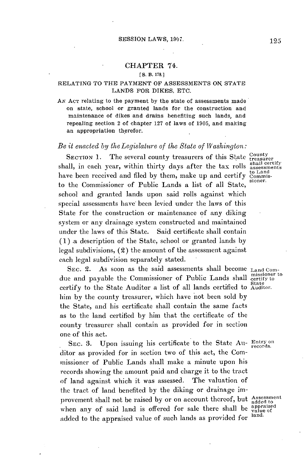## CHAPTER 74.

## **[S. B. 178.]**

## **RELATING** TO THE PAYMENT OF **ASSESSMENTS ON STATE LANDS** FOR DIKES, **ETC.**

**AN ACT** relating to the payment **by** the state of assessments made on state, school or granted lands for the construction and maintenance of dikes and drains benefiting such lands, and repealing section 2 of chapter **127** of laws of **1905,** and making an appropriation therefor.

## *Be it enacted by the Legislature of tl.e Stale of Washington:*

SECTION 1. The several county treasurers of this State County shall, in each year, within thirty days after the tax rolls assessments have been received and filed by them, make up and certify commisto the Commissioner of Public Lands a list of all State, school and granted lands upon said rolls against which special assessments have been levied under the laws of this State for the construction or maintenance of any diking system or any drainage system constructed and maintained under the laws of this State. Said certificate shall contain **(1)** a description of the State, school or granted lands **by** legal subdivisions, (2) the amount of the assessment against each legal subdivision separately stated.

SEC. 2. As soon as the said assessments shall become <sub>Land Com-</sub> due and payable the Commissioner of Public Lands shall missioner to ertify to the State Auditor a list of all lands certified to Auditor. him **by** the county treasurer, which have not been sold **by** the State, and his certificate shall contain the same facts as to the land certified **by** him that the certificate of the county treasurer shall contain as provided for in section one of this act.

SEC. 3. Upon issuing his certificate to the State Au- Entry on ditor as provided for in section two of this act, the Commissioner of Public Lands shall make a minute upon **his** records showing the amount paid and charge it to the tract of land against which it was assessed. The valuation of the tract of land benefited **by** the diking or drainage improvement shall not be raised by or on account thereof, but assessment when any of said land is offered for sale there shall be  $\frac{a_{\text{ppraised}}}{\text{value of}}$ added to the appraised value of such lands as provided for